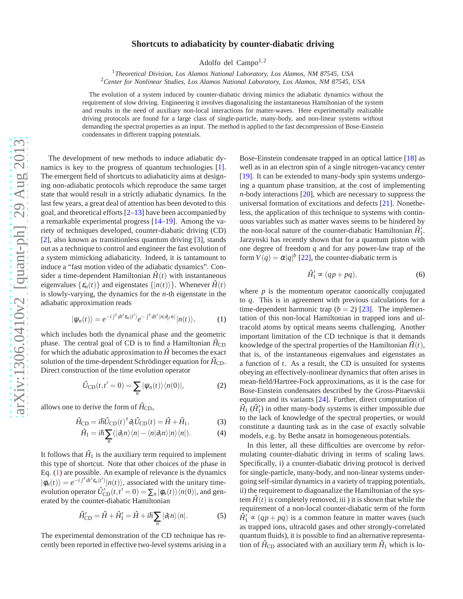## arXiv:1306.0410v2 [quant-ph] 29 Aug 2013 [arXiv:1306.0410v2 \[quant-ph\] 29 Aug 2013](http://arxiv.org/abs/1306.0410v2)

## **Shortcuts to adiabaticity by counter-diabatic driving**

Adolfo del Campo $1,2$ 

<sup>1</sup>*Theoretical Division, Los Alamos National Laboratory, Los Alamos, NM 87545, USA* <sup>2</sup>*Center for Nonlinear Studies, Los Alamos National Laboratory, Los Alamos, NM 87545, USA*

The evolution of a system induced by counter-diabatic driving mimics the adiabatic dynamics without the requirement of slow driving. Engineering it involves diagonalizing the instantaneous Hamiltonian of the system and results in the need of auxiliary non-local interactions for matter-waves. Here experimentally realizable driving protocols are found for a large class of single-particle, many-body, and non-linear systems without demanding the spectral properties as an input. The method is applied to the fast decompression of Bose-Einstein condensates in different trapping potentials.

The development of new methods to induce adiabatic dynamics is key to the progress of quantum technologies [\[1](#page-4-0)]. The emergent field of shortcuts to adiabaticity aims at designing non-adiabatic protocols which reproduce the same target state that would result in a strictly adiabatic dynamics. In the last few years, a great deal of attention has been devoted to this goal, and theoretical efforts [\[2](#page-4-1)[–13\]](#page-4-2) have been accompanied by a remarkable experimental progress [\[14](#page-4-3)[–19\]](#page-4-4). Among the variety of techniques developed, counter-diabatic driving (CD) [\[2](#page-4-1)], also known as transitionless quantum driving [\[3](#page-4-5)], stands out as a technique to control and engineer the fast evolution of a system mimicking adiabaticity. Indeed, it is tantamount to induce a "fast motion video of the adiabatic dynamics". Consider a time-dependent Hamiltonian  $\hat{H}(t)$  with instantaneous eigenvalues  $\{\varepsilon_n(t)\}\$  and eigenstates  $\{|n(t)\rangle\}$ . Whenever  $\hat{H}(t)$ is slowly-varying, the dynamics for the *n*-th eigenstate in the adiabatic approximation reads

<span id="page-0-0"></span>
$$
|\psi_n(t)\rangle = e^{-i\int^t dt' \varepsilon_n(t')} e^{-\int^t dt' \langle n|\partial_{t'} n\rangle} |n(t)\rangle, \tag{1}
$$

which includes both the dynamical phase and the geometric phase. The central goal of CD is to find a Hamiltonian  $\hat{H}_{CD}$ for which the adiabatic approximation to  $\hat{H}$  becomes the exact solution of the time-dependent Schrödinger equation for  $\hat{H}_{CD}$ . Direct construction of the time evolution operator

$$
\hat{U}_{\text{CD}}(t, t'=0) = \sum_{n} |\psi_n(t)\rangle\langle n(0)|,
$$
\n(2)

allows one to derive the form of  $\hat{H}_{CD}$ ,

<span id="page-0-1"></span>
$$
\hat{H}_{\rm CD} = i\hbar \hat{U}_{\rm CD}(t)^{\dagger} \partial_t \hat{U}_{\rm CD}(t) = \hat{H} + \hat{H}_1,\tag{3}
$$

$$
\hat{H}_1 = i\hbar \sum_n (|\partial_t n \rangle \langle n| - \langle n | \partial_t n \rangle |n \rangle \langle n|).
$$
 (4)

It follows that  $\hat{H}_1$  is the auxiliary term required to implement this type of shortcut. Note that other choices of the phase in Eq. [\(1\)](#page-0-0) are possible. An example of relevance is the dynamics  $|\phi_n(t)\rangle = e^{-i\int^t dt' \varepsilon_n(t')}|n(t)\rangle$ , associated with the unitary timeevolution operator  $\hat{U}'_{CD}(t,t'=0) = \sum_n |\phi_n(t)\rangle\langle n(0)|$ , and generated by the counter-diabatic Hamiltonian

$$
\hat{H}'_{\rm CD} = \hat{H} + \hat{H}'_1 = \hat{H} + i\hbar \sum_n |\partial_t n\rangle\langle n|.
$$
 (5)

The experimental demonstration of the CD technique has recently been reported in effective two-level systems arising in a

Bose-Einstein condensate trapped in an optical lattice [\[18\]](#page-4-6) as well as in an electron spin of a single nitrogen-vacancy center [\[19](#page-4-4)]. It can be extended to many-body spin systems undergoing a quantum phase transition, at the cost of implementing *n*-body interactions [\[20\]](#page-4-7), which are necessary to suppress the universal formation of excitations and defects [\[21\]](#page-4-8). Nonetheless, the application of this technique to systems with continuous variables such as matter waves seems to be hindered by the non-local nature of the counter-diabatic Hamiltonian  $\hat{H}_1^j$ . Jarzynski has recently shown that for a quantum piston with one degree of freedom *q* and for any power-law trap of the form  $V(q) = \alpha |q|^{b}$  [\[22](#page-4-9)], the counter-diabatic term is

$$
\hat{H}'_1 \propto (qp + pq),\tag{6}
$$

where  $p$  is the momentum operator canonically conjugated to *q*. This is in agreement with previous calculations for a time-dependent harmonic trap  $(b = 2)$  [\[23\]](#page-4-10). The implementation of this non-local Hamiltonian in trapped ions and ultracold atoms by optical means seems challenging. Another important limitation of the CD technique is that it demands knowledge of the spectral properties of the Hamiltonian  $\hat{H}(t)$ , that is, of the instantaneous eigenvalues and eigenstates as a function of *t*. As a result, the CD is unsuited for systems obeying an effectively-nonlinear dynamics that often arises in mean-field/Hartree-Fock approximations, as it is the case for Bose-Einstein condensates described by the Gross-Pitaevskii equation and its variants [\[24](#page-4-11)]. Further, direct computation of  $\hat{H}_1$  ( $\hat{H}'_1$ ) in other many-body systems is either impossible due to the lack of knowledge of the spectral properties, or would constitute a daunting task as in the case of exactly solvable models, e.g. by Bethe ansatz in homogeneous potentials.

In this letter, all these difficulties are overcome by reformulating counter-diabatic driving in terms of scaling laws. Specifically, i) a counter-diabatic driving protocol is derived for single-particle, many-body, and non-linear systems undergoing self-similar dynamics in a variety of trapping potentials, ii) the requirement to diagoanalize the Hamiltonian of the system  $\hat{H}(t)$  is completely removed, iii) it is shown that while the requirement of a non-local counter-diabatic term of the form  $\hat{H}_1' \propto (qp + pq)$  is a common feature in matter waves (such as trapped ions, ultracold gases and other strongly-correlated quantum fluids), it is possible to find an alternative representation of  $\hat{H}_{CD}$  associated with an auxiliary term  $\hat{H}_1$  which is lo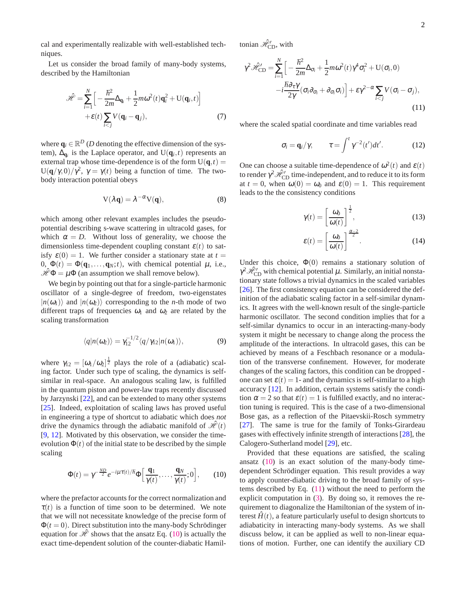cal and experimentally realizable with well-established techniques.

Let us consider the broad family of many-body systems, described by the Hamiltonian

$$
\hat{\mathcal{H}} = \sum_{i=1}^{N} \left[ -\frac{\hbar^2}{2m} \Delta_{\mathbf{q}_i} + \frac{1}{2} m \omega^2(t) \mathbf{q}_i^2 + U(\mathbf{q}_i, t) \right] + \varepsilon(t) \sum_{i < j} V(\mathbf{q}_i - \mathbf{q}_j), \tag{7}
$$

where  $\mathbf{q}_i \in \mathbb{R}^D$  (*D* denoting the effective dimension of the system),  $\Delta_{\mathbf{q}_i}$  is the Laplace operator, and  $U(\mathbf{q}_i, t)$  represents an external trap whose time-dependence is of the form  $U(q,t)$  = U( $\mathbf{q}/\gamma$ , 0)/ $\gamma^2$ ,  $\gamma = \gamma(t)$  being a function of time. The twobody interaction potential obeys

$$
V(\lambda q) = \lambda^{-\alpha} V(q), \tag{8}
$$

which among other relevant examples includes the pseudopotential describing s-wave scattering in ultracold gases, for which  $\alpha = D$ . Without loss of generality, we choose the dimensionless time-dependent coupling constant  $\varepsilon(t)$  to satisfy  $\varepsilon(0) = 1$ . We further consider a stationary state at  $t =$ 0,  $\Phi(t) = \Phi(\mathbf{q}_1, \dots, \mathbf{q}_N; t)$ , with chemical potential  $\mu$ , i.e.,  $\mathcal{H}\Phi = \mu\Phi$  (an assumption we shall remove below).

We begin by pointing out that for a single-particle harmonic oscillator of a single-degree of freedom, two-eigenstates  $|n(\omega_1)\rangle$  and  $|n(\omega_2)\rangle$  corresponding to the *n*-th mode of two different traps of frequencies  $\omega_1$  and  $\omega_2$  are related by the scaling transformation

$$
\langle q|n(\omega_2)\rangle = \gamma_{12}^{-1/2} \langle q/\gamma_{12}|n(\omega_1)\rangle, \qquad (9)
$$

where  $\gamma_{12} = [\omega_1/\omega_2]^{\frac{1}{2}}$  plays the role of a (adiabatic) scaling factor. Under such type of scaling, the dynamics is selfsimilar in real-space. An analogous scaling law, is fulfilled in the quantum piston and power-law traps recently discussed by Jarzynski [\[22\]](#page-4-9), and can be extended to many other systems [\[25](#page-4-12)]. Indeed, exploitation of scaling laws has proved useful in engineering a type of shortcut to adiabatic which does *not* drive the dynamics through the adiabatic manifold of  $\mathcal{H}(t)$ [\[9](#page-4-13), [12\]](#page-4-14). Motivated by this observation, we consider the timeevolution  $\Phi(t)$  of the initial state to be described by the simple scaling

<span id="page-1-0"></span>
$$
\Phi(t) = \gamma^{-\frac{ND}{2}} e^{-i\mu \tau(t)/\hbar} \Phi\Big[\frac{\mathbf{q}_1}{\gamma(t)}, \dots, \frac{\mathbf{q}_N}{\gamma(t)}; 0\Big], \qquad (10)
$$

where the prefactor accounts for the correct normalization and  $\tau(t)$  is a function of time soon to be determined. We note that we will not necessitate knowledge of the precise form of  $\Phi(t=0)$ . Direct substitution into the many-body Schrödinger equation for  $\mathcal{H}$  shows that the ansatz Eq. [\(10\)](#page-1-0) is actually the exact time-dependent solution of the counter-diabatic Hamiltonian  $\mathcal{H}_{CD}$ , with

<span id="page-1-1"></span>
$$
\gamma^2 \mathcal{H}_{\text{CD}}' = \sum_{i=1}^N \Big[ -\frac{\hbar^2}{2m} \Delta_{\sigma_i} + \frac{1}{2} m \omega^2(t) \gamma^4 \sigma_i^2 + U(\sigma_i, 0) -i \frac{\hbar \partial_{\tau} \gamma}{2\gamma} (\sigma_i \partial_{\sigma_i} + \partial_{\sigma_i} \sigma_i) \Big] + \varepsilon \gamma^{2-\alpha} \sum_{i < j} V(\sigma_i - \sigma_j), \tag{11}
$$

where the scaled spatial coordinate and time variables read

<span id="page-1-3"></span>
$$
\sigma_i = \mathbf{q}_i / \gamma, \qquad \tau = \int^t \gamma^{-2}(t') dt'.
$$
 (12)

One can choose a suitable time-dependence of  $\omega^2(t)$  and  $\varepsilon(t)$ to render  $\gamma^2\hat{\mathcal{H}}_{\mathrm{CD}}^{\prime}$  time-independent, and to reduce it to its form at  $t = 0$ , when  $\omega(0) = \omega_0$  and  $\varepsilon(0) = 1$ . This requirement leads to the the consistency conditions

<span id="page-1-2"></span>
$$
\gamma(t) = \left[\frac{\omega_0}{\omega(t)}\right]^{\frac{1}{2}},\tag{13}
$$

$$
\varepsilon(t) = \left[\frac{\omega_0}{\omega(t)}\right]^{\frac{\alpha-2}{2}}.\tag{14}
$$

Under this choice,  $\Phi(0)$  remains a stationary solution of  $\gamma^2 \hat{\mathcal{H}}_{\mathrm{CD}}^{\prime\prime}$  with chemical potential  $\mu$ . Similarly, an initial nonstationary state follows a trivial dynamics in the scaled variables [\[26](#page-4-15)]. The first consistency equation can be considered the definition of the adiabatic scaling factor in a self-similar dynamics. It agrees with the well-known result of the single-particle harmonic oscillator. The second condition implies that for a self-similar dynamics to occur in an interacting-many-body system it might be necessary to change along the process the amplitude of the interactions. In ultracold gases, this can be achieved by means of a Feschbach resonance or a modulation of the transverse confinement. However, for moderate changes of the scaling factors, this condition can be dropped one can set  $\varepsilon(t) = 1$ - and the dynamics is self-similar to a high accuracy [\[12\]](#page-4-14). In addition, certain systems satisfy the condition  $\alpha = 2$  so that  $\varepsilon(t) = 1$  is fulfilled exactly, and no interaction tuning is required. This is the case of a two-dimensional Bose gas, as a reflection of the Pitaevskii-Rosch symmetry [\[27](#page-4-16)]. The same is true for the family of Tonks-Girardeau gases with effectively infinite strength of interactions [\[28\]](#page-4-17), the Calogero-Sutherland model [\[29](#page-4-18)], etc.

Provided that these equations are satisfied, the scaling ansatz [\(10\)](#page-1-0) is an exact solution of the many-body timedependent Schrödinger equation. This result provides a way to apply counter-diabatic driving to the broad family of systems described by Eq. [\(11\)](#page-1-1) without the need to perform the explicit computation in [\(3\)](#page-0-1). By doing so, it removes the requirement to diagonalize the Hamiltonian of the system of interest  $\hat{H}(t)$ , a feature particularly useful to design shortcuts to adiabaticity in interacting many-body systems. As we shall discuss below, it can be applied as well to non-linear equations of motion. Further, one can identify the auxiliary CD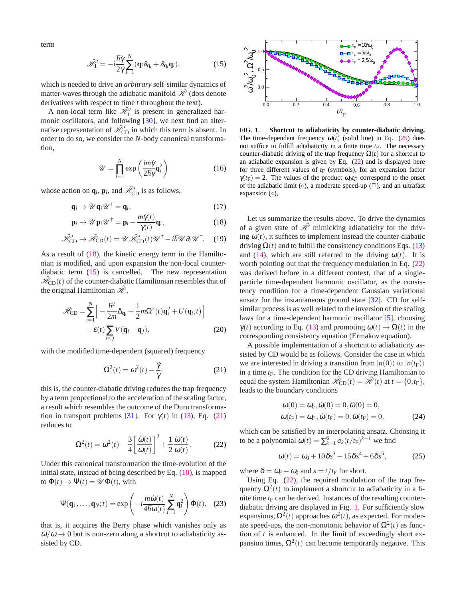term

<span id="page-2-1"></span>
$$
\mathcal{\hat{H}}_1' = -i\frac{\hbar\dot{\gamma}}{2\gamma}\sum_{i=1}^N (\mathbf{q}_i\partial_{\mathbf{q}_i} + \partial_{\mathbf{q}_i}\mathbf{q}_i),\tag{15}
$$

which is needed to drive an *arbitrary* self-similar dynamics of matter-waves through the adiabatic manifold  $\mathcal{H}$  (dots denote derivatives with respect to time *t* throughout the text).

A non-local term like  $\hat{\mathcal{H}}'_1$  is present in generalized harmonic oscillators, and following [\[30](#page-4-19)], we next find an alternative representation of  $\mathcal{H}_{CD}^{\prime\prime}$  in which this term is absent. In order to do so, we consider the *N*-body canonical transformation,

$$
\mathcal{U} = \prod_{i=1}^{N} \exp\left(\frac{im\dot{\gamma}}{2\hbar\gamma}\mathbf{q}_i^2\right) \tag{16}
$$

whose action on  $\mathbf{q}_i$ ,  $\mathbf{p}_i$ , and  $\hat{\mathcal{H}}'_{\text{CD}}$  is as follows,

<span id="page-2-0"></span>
$$
\mathbf{q}_i \to \mathscr{U} \mathbf{q}_i \mathscr{U}^\dagger = \mathbf{q}_i, \tag{17}
$$

$$
\mathbf{p}_{i} \rightarrow \mathscr{U}\mathbf{p}_{i}\mathscr{U}^{\dagger} = \mathbf{p}_{i} - \frac{m\dot{\gamma}(t)}{\gamma(t)}\mathbf{q}_{i},
$$
\n(18)

$$
\hat{\mathcal{H}}_{\text{CD}}^{\prime} \rightarrow \hat{\mathcal{H}}_{\text{CD}}(t) = \mathcal{U} \hat{\mathcal{H}}_{\text{CD}}^{\prime}(t) \mathcal{U}^{\dagger} - i\hbar \mathcal{U} \partial_t \mathcal{U}^{\dagger}.
$$
 (19)

As a result of [\(18\)](#page-2-0), the kinetic energy term in the Hamiltonian is modified, and upon expansion the non-local counterdiabatic term [\(15\)](#page-2-1) is cancelled. The new representation  $\hat{\mathcal{H}}_{CD}(t)$  of the counter-diabatic Hamiltonian resembles that of the original Hamiltonian  $\mathcal{H}$ ,

<span id="page-2-7"></span>
$$
\mathcal{H}_{\text{CD}} = \sum_{i=1}^{N} \left[ -\frac{\hbar^2}{2m} \Delta_{\mathbf{q}_i} + \frac{1}{2} m \Omega^2(t) \mathbf{q}_i^2 + U(\mathbf{q}_i, t) \right] + \varepsilon(t) \sum_{i < j} V(\mathbf{q}_i - \mathbf{q}_j), \tag{20}
$$

with the modified time-dependent (squared) frequency

<span id="page-2-2"></span>
$$
\Omega^2(t) = \omega^2(t) - \frac{\ddot{\gamma}}{\gamma},\tag{21}
$$

this is, the counter-diabatic driving reduces the trap frequency by a term proportional to the acceleration of the scaling factor, a result which resembles the outcome of the Duru transforma-tion in transport problems [\[31\]](#page-4-20). For  $\gamma(t)$  in [\(13\)](#page-1-2), Eq. [\(21\)](#page-2-2) reduces to

<span id="page-2-4"></span>
$$
\Omega^2(t) = \omega^2(t) - \frac{3}{4} \left[ \frac{\dot{\omega}(t)}{\omega(t)} \right]^2 + \frac{1}{2} \frac{\ddot{\omega}(t)}{\omega(t)}.
$$
 (22)

Under this canonical transformation the time-evolution of the initial state, instead of being described by Eq. [\(10\)](#page-1-0), is mapped to  $\Phi(t) \rightarrow \Psi(t) = \mathcal{U}\Phi(t)$ , with

<span id="page-2-6"></span>
$$
\Psi(\mathbf{q}_1,\ldots,\mathbf{q}_N;t) = \exp\left(-i\frac{m\dot{\omega}(t)}{4\hbar\omega(t)}\sum_{i=1}^N \mathbf{q}_i^2\right)\Phi(t), \quad (23)
$$

that is, it acquires the Berry phase which vanishes only as  $\dot{\omega}/\omega \rightarrow 0$  but is non-zero along a shortcut to adiabaticity assisted by CD.



<span id="page-2-5"></span>FIG. 1. **Shortcut to adiabaticity by counter-diabatic driving.** The time-dependent frequency  $\omega(t)$  (solid line) in Eq. [\(25\)](#page-2-3) does not suffice to fulfill adiabaticity in a finite time  $t_F$ . The necessary counter-diabatic driving of the trap frequency  $\Omega(t)$  for a shortcut to an adiabatic expansion is given by Eq. [\(22\)](#page-2-4) and is displayed here for three different values of  $t_F$  (symbols), for an expansion factor  $\gamma(t_F) = 2$ . The values of the product  $\omega_0 t_F$  correspond to the onset of the adiabatic limit ( $\circ$ ), a moderate speed-up ( $\Box$ ), and an ultrafast expansion  $(\diamond)$ ,

Let us summarize the results above. To drive the dynamics of a given state of  $\mathcal{H}$  mimicking adiabaticity for the driving  $\omega(t)$ , it suffices to implement instead the counter-diabatic driving  $\Omega(t)$  and to fulfill the consistency conditions Eqs. [\(13\)](#page-1-2) and [\(14\)](#page-1-2), which are still referred to the driving  $\omega(t)$ . It is worth pointing out that the frequency modulation in Eq.  $(22)$ was derived before in a different context, that of a singleparticle time-dependent harmonic oscillator, as the consistency condition for a time-dependent Gaussian variational ansatz for the instantaneous ground state [\[32\]](#page-4-21). CD for selfsimilar process is as well related to the inversion of the scaling laws for a time-dependent harmonic oscillator [\[5\]](#page-4-22), choosing γ(*t*) according to Eq. [\(13\)](#page-1-2) and promoting <sup>ω</sup>(*t*) → Ω(*t*) in the corresponding consistency equation (Ermakov equation).

A possible implementation of a shortcut to adiabaticity assisted by CD would be as follows. Consider the case in which we are interested in driving a transition from  $|n(0)\rangle$  to  $|n(t_F)\rangle$ in a time  $t_F$ . The condition for the CD driving Hamiltonian to equal the system Hamiltonian  $\mathcal{H}_{CD}(t) = \mathcal{H}(t)$  at  $t = \{0, t_F\}$ , leads to the boundary conditions

<span id="page-2-8"></span>
$$
\begin{aligned} \n\omega(0) &= \omega_0, \dot{\omega}(0) = 0, \ddot{\omega}(0) = 0, \\ \n\omega(t_F) &= \omega_F, \dot{\omega}(t_F) = 0, \ddot{\omega}(t_F) = 0, \n\end{aligned} \tag{24}
$$

which can be satisfied by an interpolating ansatz. Choosing it to be a polynomial  $\omega(t) = \sum_{k=1}^{6} a_k (t/t_F)^{k-1}$  we find

<span id="page-2-3"></span>
$$
\omega(t) = \omega_0 + 10\delta s^3 - 15\delta s^4 + 6\delta s^5, \tag{25}
$$

where  $\delta = \omega_F - \omega_0$  and  $s = t/t_F$  for short.

Using Eq. [\(22\)](#page-2-4), the required modulation of the trap frequency  $\Omega^2(t)$  to implement a shortcut to adiabaticity in a finite time  $t_F$  can be derived. Instances of the resulting counterdiabatic driving are displayed in Fig. [1.](#page-2-5) For sufficiently slow expansions,  $\Omega^2(t)$  approaches  $ω^2(t)$ , as expected. For moderate speed-ups, the non-monotonic behavior of  $\Omega^2(t)$  as function of *t* is enhanced. In the limit of exceedingly short expansion times,  $\Omega^2(t)$  can become temporarily negative. This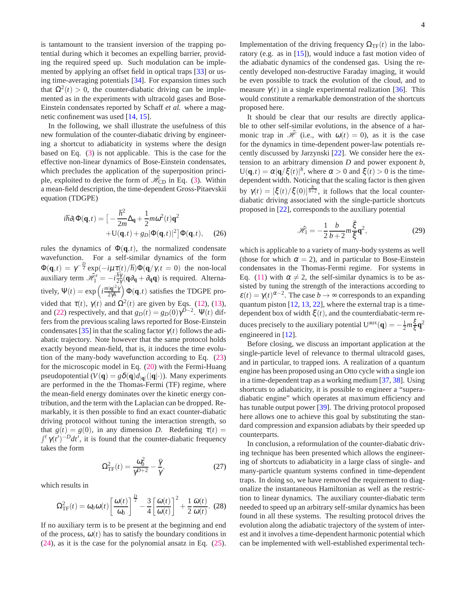is tantamount to the transient inversion of the trapping potential during which it becomes an expelling barrier, providing the required speed up. Such modulation can be implemented by applying an offset field in optical traps [\[33\]](#page-4-23) or using time-averaging potentials [\[34](#page-4-24)]. For expansion times such that  $\Omega^2(t) > 0$ , the counter-diabatic driving can be implemented as in the experiments with ultracold gases and Bose-Einstein condensates reported by Schaff *et al.* where a magnetic confinement was used [\[14,](#page-4-3) [15\]](#page-4-25).

In the following, we shall illustrate the usefulness of this new formulation of the counter-diabatic driving by engineering a shortcut to adiabaticity in systems where the design based on Eq. [\(3\)](#page-0-1) is not applicable. This is the case for the effective non-linear dynamics of Bose-Einstein condensates, which precludes the application of the superposition principle, exploited to derive the form of  $\hat{\mathcal{H}}_{CD}$  in Eq. [\(3\)](#page-0-1). Within a mean-field description, the time-dependent Gross-Pitaevskii equation (TDGPE)

$$
i\hbar \partial_t \Phi(\mathbf{q}, t) = \left[ -\frac{\hbar^2}{2m} \Delta_\mathbf{q} + \frac{1}{2} m \omega^2(t) \mathbf{q}^2 + U(\mathbf{q}, t) + g_D |\Phi(\mathbf{q}, t)|^2 \right] \Phi(\mathbf{q}, t), \quad (26)
$$

rules the dynamics of  $\Phi(\mathbf{q},t)$ , the normalized condensate wavefunction. For a self-similar dynamics of the form  $Φ$ (**q**,*t*) =  $γ^{-\frac{D}{2}}$  exp( $-iμτ(t)/\hbar$ ) $Φ$ (**q**/γ,*t* = 0) the non-local auxiliary term  $\hat{\mathcal{H}}_1' = -i \frac{\hbar \gamma}{2\gamma} (\mathbf{q} \partial_{\mathbf{q}} + \partial_{\mathbf{q}} \mathbf{q})$  is required. Alternatively,  $\Psi(t) = \exp\left(i\frac{m|\mathbf{q}|^2\dot{\gamma}}{2\gamma\hbar}\right)$  $\frac{(|\mathbf{q}|^2 \dot{\gamma}}{2\gamma \hbar}) \Phi(\mathbf{q},t)$  satisfies the TDGPE provided that  $\tau(t)$ ,  $\gamma(t)$  and  $\Omega^2(t)$  are given by Eqs. [\(12\)](#page-1-3), [\(13\)](#page-1-2), and [\(22\)](#page-2-4) respectively, and that  $g_D(t) = g_D(0)\gamma^{D-2}$ .  $\Psi(t)$  differs from the previous scaling laws reported for Bose-Einstein condensates [\[35\]](#page-4-26) in that the scaling factor  $\gamma(t)$  follows the adiabatic trajectory. Note however that the same protocol holds exactly beyond mean-field, that is, it induces the time evolution of the many-body wavefunction according to Eq. [\(23\)](#page-2-6) for the microscopic model in Eq. [\(20\)](#page-2-7) with the Fermi-Huang pseudopotential ( $V(\mathbf{q}) = g\delta(\mathbf{q})d_{|\mathbf{q}|}(|\mathbf{q}| \cdot)$ ). Many experiments are performed in the the Thomas-Fermi (TF) regime, where the mean-field energy dominates over the kinetic energy contribution, and the term with the Laplacian can be dropped. Remarkably, it is then possible to find an exact counter-diabatic driving protocol without tuning the interaction strength, so that  $g(t) = g(0)$ , in any dimension *D*. Redefining  $\tau(t) =$  $\int_0^t \gamma(t')^{-D} dt'$ , it is found that the counter-diabatic frequency takes the form

$$
\Omega_{\rm TF}^2(t) = \frac{\omega_0^2}{\gamma^{D+2}} - \frac{\ddot{\gamma}}{\gamma},\tag{27}
$$

which results in

$$
\Omega_{\rm TF}^2(t) = \omega_0 \omega(t) \left[ \frac{\omega(t)}{\omega_0} \right]^{\frac{D}{2}} - \frac{3}{4} \left[ \frac{\dot{\omega}(t)}{\omega(t)} \right]^2 + \frac{1}{2} \frac{\dot{\omega}(t)}{\omega(t)}.
$$
 (28)

If no auxiliary term is to be present at the beginning and end of the process,  $\omega(t)$  has to satisfy the boundary conditions in [\(24\)](#page-2-8), as it is the case for the polynomial ansatz in Eq. [\(25\)](#page-2-3). Implementation of the driving frequency  $\Omega_{TF}(t)$  in the laboratory (e.g. as in [\[15](#page-4-25)]), would induce a fast motion video of the adiabatic dynamics of the condensed gas. Using the recently developed non-destructive Faraday imaging, it would be even possible to track the evolution of the cloud, and to measure  $\gamma(t)$  in a single experimental realization [\[36\]](#page-4-27). This would constitute a remarkable demonstration of the shortcuts proposed here.

It should be clear that our results are directly applicable to other self-similar evolutions, in the absence of a harmonic trap in  $\mathcal{\hat{H}}$  (i.e., with  $\omega(t) = 0$ ), as it is the case for the dynamics in time-dependent power-law potentials recently discussed by Jarzynski [\[22\]](#page-4-9). We consider here the extension to an arbitrary dimension *D* and power exponent *b*,  $U(q,t) = \alpha |q/\xi(t)|^b$ , where  $\alpha > 0$  and  $\xi(t) > 0$  is the timedependent width. Noticing that the scaling factor is then given by  $\gamma(t) = \left[\xi(t)/\xi(0)\right]_0^{\frac{b}{b+2}}$ , it follows that the local counterdiabatic driving associated with the single-particle shortcuts proposed in [\[22\]](#page-4-9), corresponds to the auxiliary potential

$$
\hat{\mathcal{H}}_1 = -\frac{1}{2} \frac{b}{b+2} m \frac{\ddot{\xi}}{\xi} \mathbf{q}^2, \tag{29}
$$

which is applicable to a variety of many-body systems as well (those for which  $\alpha = 2$ ), and in particular to Bose-Einstein condensates in the Thomas-Fermi regime. For systems in Eq. [\(11\)](#page-1-1) with  $\alpha \neq 2$ , the self-similar dynamics is to be assisted by tuning the strength of the interactions according to  $\varepsilon(t) = \gamma(t)^{\alpha-2}$ . The case  $b \to \infty$  corresponds to an expanding quantum piston [\[12](#page-4-14), [13,](#page-4-2) [22\]](#page-4-9), where the external trap is a timedependent box of width  $\xi(t)$ , and the counterdiabatic-term reduces precisely to the auxiliary potential  $U^{aux}(\mathbf{q}) = -\frac{1}{2}m\frac{\xi}{\xi}$  $\frac{\xi}{\xi} \mathbf{q}^2$ engineered in [\[12\]](#page-4-14).

Before closing, we discuss an important application at the single-particle level of relevance to thermal ultracold gases, and in particular, to trapped ions. A realization of a quantum engine has been proposed using an Otto cycle with a single ion in a time-dependent trap as a working medium [\[37](#page-4-28), [38\]](#page-4-29). Using shortcuts to adiabaticity, it is possible to engineer a "superadiabatic engine" which operates at maximum efficiency and has tunable output power [\[39\]](#page-4-30). The driving protocol proposed here allows one to achieve this goal by substituting the standard compression and expansion adiabats by their speeded up counterparts.

In conclusion, a reformulation of the counter-diabatic driving technique has been presented which allows the engineering of shortcuts to adiabaticity in a large class of single- and many-particle quantum systems confined in time-dependent traps. In doing so, we have removed the requirement to diagonalize the instantaneous Hamiltonian as well as the restriction to linear dynamics. The auxiliary counter-diabatic term needed to speed up an arbitrary self-smilar dynamics has been found in all these systems. The resulting protocol drives the evolution along the adiabatic trajectory of the system of interest and it involves a time-dependent harmonic potential which can be implemented with well-established experimental tech